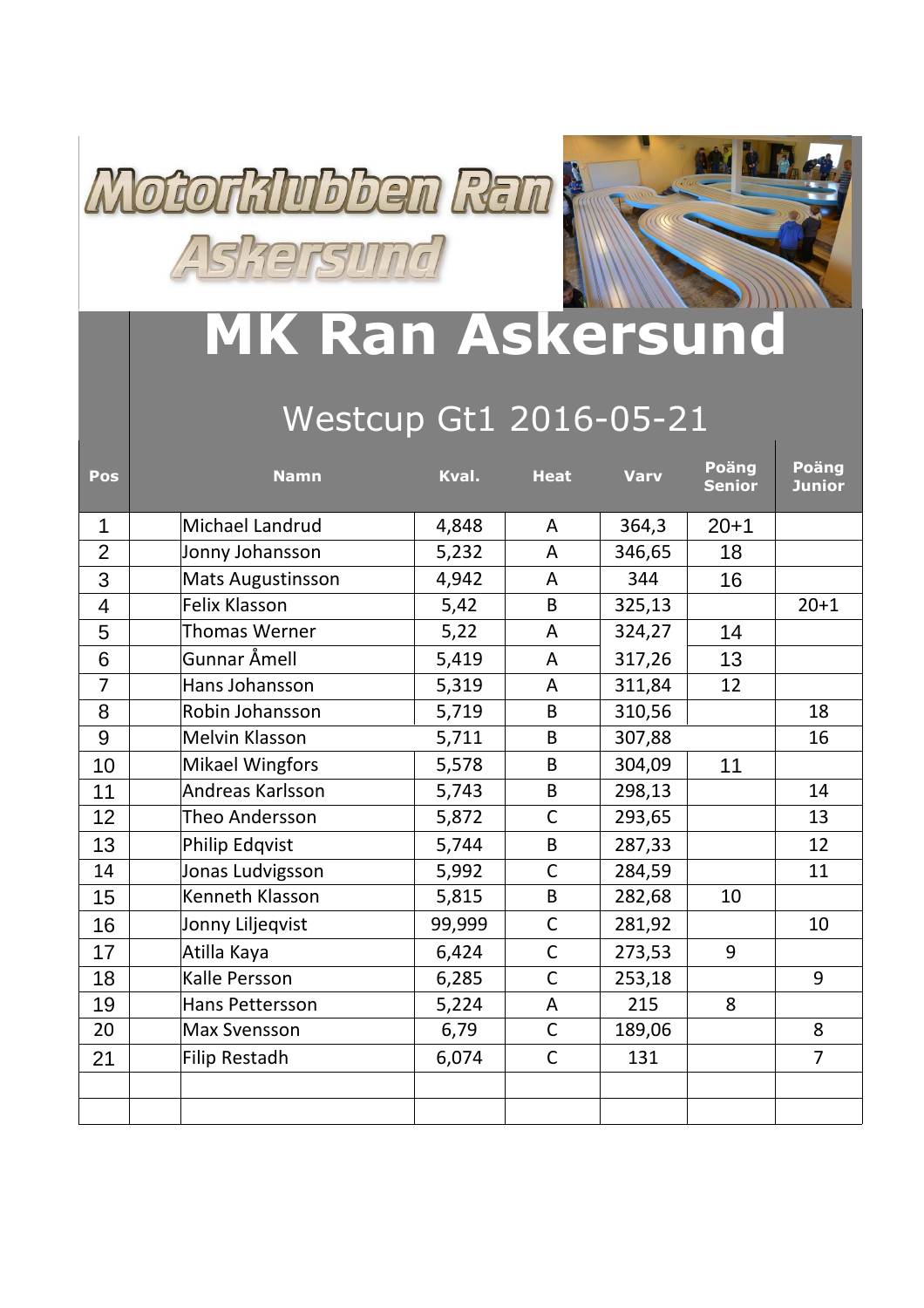



## **MK Ran Askersund**

## Westcup Gt1 2016-05-21

| Pos            | <b>Namn</b>              | Kval.  | <b>Heat</b>    | <b>Varv</b> | Poäng<br><b>Senior</b> | Poäng<br><b>Junior</b> |
|----------------|--------------------------|--------|----------------|-------------|------------------------|------------------------|
| 1              | Michael Landrud          | 4,848  | A              | 364,3       | $20 + 1$               |                        |
| $\overline{2}$ | Jonny Johansson          | 5,232  | A              | 346,65      | 18                     |                        |
| 3              | <b>Mats Augustinsson</b> | 4,942  | A              | 344         | 16                     |                        |
| 4              | <b>Felix Klasson</b>     | 5,42   | B              | 325,13      |                        | $20 + 1$               |
| 5              | <b>Thomas Werner</b>     | 5,22   | A              | 324,27      | 14                     |                        |
| 6              | Gunnar Åmell             | 5,419  | A              | 317,26      | 13                     |                        |
| $\overline{7}$ | Hans Johansson           | 5,319  | A              | 311,84      | 12                     |                        |
| 8              | Robin Johansson          | 5,719  | B              | 310,56      |                        | 18                     |
| 9              | Melvin Klasson           | 5,711  | B              | 307,88      |                        | 16                     |
| 10             | <b>Mikael Wingfors</b>   | 5,578  | B              | 304,09      | 11                     |                        |
| 11             | Andreas Karlsson         | 5,743  | B              | 298,13      |                        | 14                     |
| 12             | Theo Andersson           | 5,872  | C              | 293,65      |                        | 13                     |
| 13             | <b>Philip Edqvist</b>    | 5,744  | B              | 287,33      |                        | 12                     |
| 14             | Jonas Ludvigsson         | 5,992  | $\mathsf{C}$   | 284,59      |                        | 11                     |
| 15             | Kenneth Klasson          | 5,815  | B              | 282,68      | 10                     |                        |
| 16             | Jonny Liljeqvist         | 99,999 | $\mathsf{C}$   | 281,92      |                        | 10                     |
| 17             | Atilla Kaya              | 6,424  | $\mathsf{C}$   | 273,53      | 9                      |                        |
| 18             | Kalle Persson            | 6,285  | $\overline{C}$ | 253,18      |                        | 9                      |
| 19             | Hans Pettersson          | 5,224  | A              | 215         | 8                      |                        |
| 20             | <b>Max Svensson</b>      | 6,79   | $\mathsf{C}$   | 189,06      |                        | 8                      |
| 21             | Filip Restadh            | 6,074  | $\mathsf{C}$   | 131         |                        | $\overline{7}$         |
|                |                          |        |                |             |                        |                        |
|                |                          |        |                |             |                        |                        |